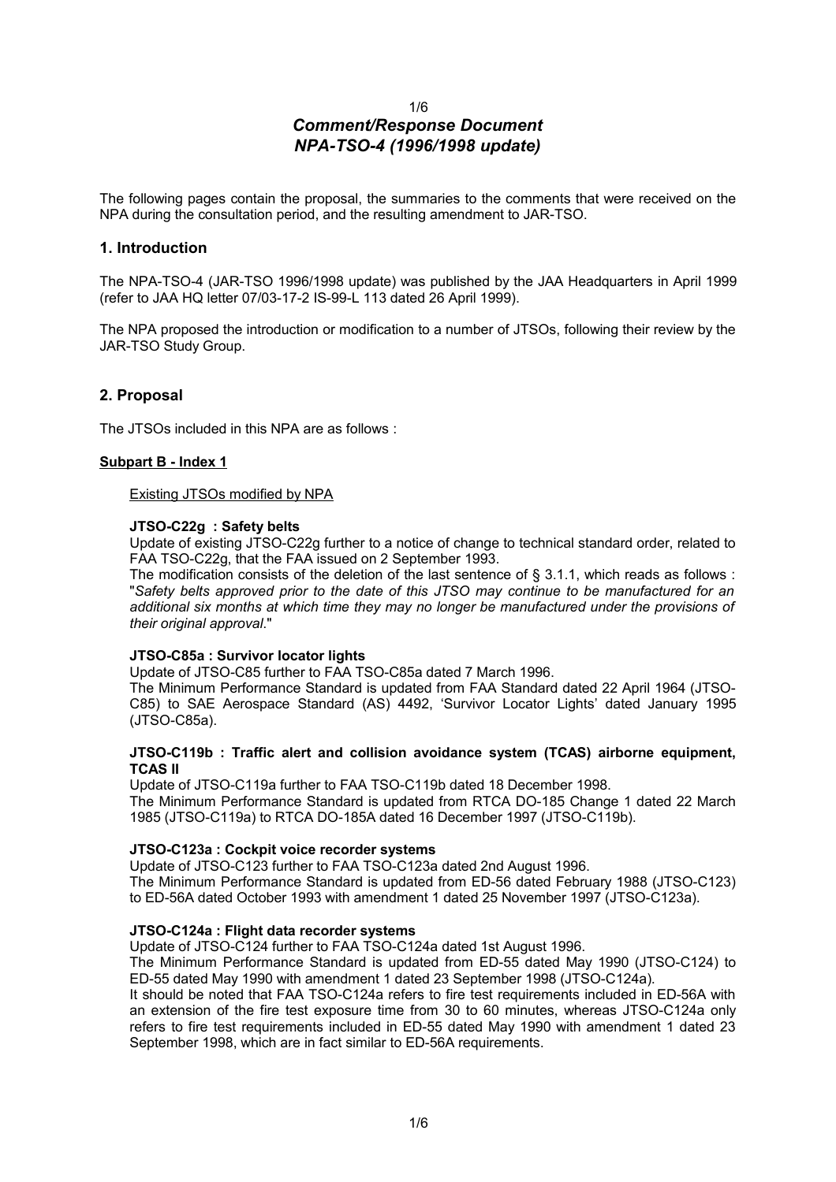# 1/6 *Comment/Response Document NPA-TSO-4 (1996/1998 update)*

The following pages contain the proposal, the summaries to the comments that were received on the NPA during the consultation period, and the resulting amendment to JAR-TSO.

## **1. Introduction**

The NPA-TSO-4 (JAR-TSO 1996/1998 update) was published by the JAA Headquarters in April 1999 (refer to JAA HQ letter 07/03-17-2 IS-99-L 113 dated 26 April 1999).

The NPA proposed the introduction or modification to a number of JTSOs, following their review by the JAR-TSO Study Group.

## **2. Proposal**

The JTSOs included in this NPA are as follows :

### **Subpart B - Index 1**

Existing JTSOs modified by NPA

### **JTSO-C22g : Safety belts**

Update of existing JTSO-C22g further to a notice of change to technical standard order, related to FAA TSO-C22g, that the FAA issued on 2 September 1993.

The modification consists of the deletion of the last sentence of § 3.1.1, which reads as follows : "*Safety belts approved prior to the date of this JTSO may continue to be manufactured for an additional six months at which time they may no longer be manufactured under the provisions of their original approval*."

### **JTSO-C85a : Survivor locator lights**

Update of JTSO-C85 further to FAA TSO-C85a dated 7 March 1996.

The Minimum Performance Standard is updated from FAA Standard dated 22 April 1964 (JTSO-C85) to SAE Aerospace Standard (AS) 4492, 'Survivor Locator Lights' dated January 1995 (JTSO-C85a).

### **JTSO-C119b : Traffic alert and collision avoidance system (TCAS) airborne equipment, TCAS II**

Update of JTSO-C119a further to FAA TSO-C119b dated 18 December 1998. The Minimum Performance Standard is updated from RTCA DO-185 Change 1 dated 22 March 1985 (JTSO-C119a) to RTCA DO-185A dated 16 December 1997 (JTSO-C119b).

### **JTSO-C123a : Cockpit voice recorder systems**

Update of JTSO-C123 further to FAA TSO-C123a dated 2nd August 1996. The Minimum Performance Standard is updated from ED-56 dated February 1988 (JTSO-C123) to ED-56A dated October 1993 with amendment 1 dated 25 November 1997 (JTSO-C123a).

### **JTSO-C124a : Flight data recorder systems**

Update of JTSO-C124 further to FAA TSO-C124a dated 1st August 1996.

The Minimum Performance Standard is updated from ED-55 dated May 1990 (JTSO-C124) to ED-55 dated May 1990 with amendment 1 dated 23 September 1998 (JTSO-C124a).

It should be noted that FAA TSO-C124a refers to fire test requirements included in ED-56A with an extension of the fire test exposure time from 30 to 60 minutes, whereas JTSO-C124a only refers to fire test requirements included in ED-55 dated May 1990 with amendment 1 dated 23 September 1998, which are in fact similar to ED-56A requirements.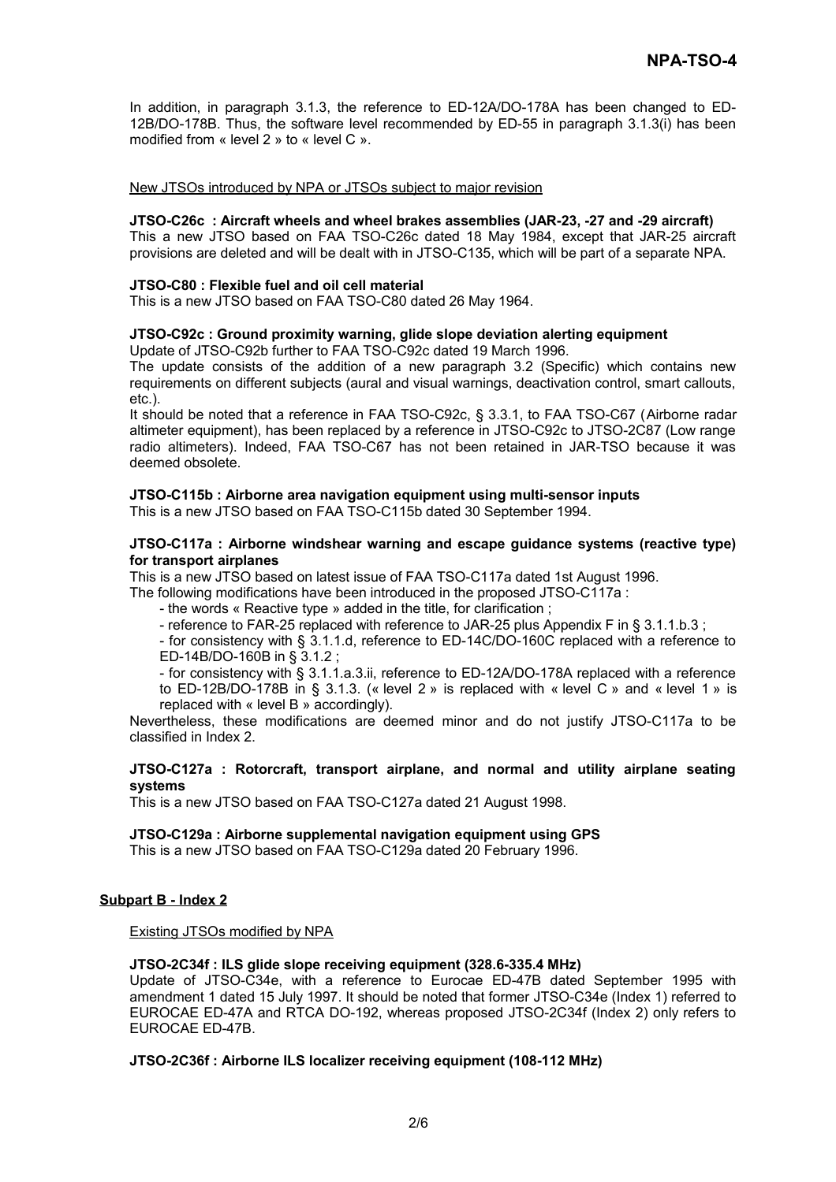In addition, in paragraph 3.1.3, the reference to ED-12A/DO-178A has been changed to ED-12B/DO-178B. Thus, the software level recommended by ED-55 in paragraph 3.1.3(i) has been modified from « level 2 » to « level C ».

### New JTSOs introduced by NPA or JTSOs subject to major revision

#### **JTSO-C26c : Aircraft wheels and wheel brakes assemblies (JAR-23, -27 and -29 aircraft)**

This a new JTSO based on FAA TSO-C26c dated 18 May 1984, except that JAR-25 aircraft provisions are deleted and will be dealt with in JTSO-C135, which will be part of a separate NPA.

#### **JTSO-C80 : Flexible fuel and oil cell material**

This is a new JTSO based on FAA TSO-C80 dated 26 May 1964.

#### **JTSO-C92c : Ground proximity warning, glide slope deviation alerting equipment**

Update of JTSO-C92b further to FAA TSO-C92c dated 19 March 1996.

The update consists of the addition of a new paragraph 3.2 (Specific) which contains new requirements on different subjects (aural and visual warnings, deactivation control, smart callouts, etc.).

It should be noted that a reference in FAA TSO-C92c, § 3.3.1, to FAA TSO-C67 (Airborne radar altimeter equipment), has been replaced by a reference in JTSO-C92c to JTSO-2C87 (Low range radio altimeters). Indeed, FAA TSO-C67 has not been retained in JAR-TSO because it was deemed obsolete.

# **JTSO-C115b : Airborne area navigation equipment using multi-sensor inputs**

This is a new JTSO based on FAA TSO-C115b dated 30 September 1994.

### **JTSO-C117a : Airborne windshear warning and escape guidance systems (reactive type) for transport airplanes**

This is a new JTSO based on latest issue of FAA TSO-C117a dated 1st August 1996.

The following modifications have been introduced in the proposed JTSO-C117a :

- the words « Reactive type » added in the title, for clarification ;

- reference to FAR-25 replaced with reference to JAR-25 plus Appendix F in § 3.1.1.b.3 ;

- for consistency with § 3.1.1.d, reference to ED-14C/DO-160C replaced with a reference to ED-14B/DO-160B in § 3.1.2 ;

- for consistency with § 3.1.1.a.3.ii, reference to ED-12A/DO-178A replaced with a reference to ED-12B/DO-178B in § 3.1.3. (« level 2 » is replaced with « level C » and « level 1 » is replaced with « level B » accordingly).

Nevertheless, these modifications are deemed minor and do not justify JTSO-C117a to be classified in Index 2.

### **JTSO-C127a : Rotorcraft, transport airplane, and normal and utility airplane seating systems**

This is a new JTSO based on FAA TSO-C127a dated 21 August 1998.

### **JTSO-C129a : Airborne supplemental navigation equipment using GPS**

This is a new JTSO based on FAA TSO-C129a dated 20 February 1996.

### **Subpart B - Index 2**

Existing JTSOs modified by NPA

### **JTSO-2C34f : ILS glide slope receiving equipment (328.6-335.4 MHz)**

Update of JTSO-C34e, with a reference to Eurocae ED-47B dated September 1995 with amendment 1 dated 15 July 1997. It should be noted that former JTSO-C34e (Index 1) referred to EUROCAE ED-47A and RTCA DO-192, whereas proposed JTSO-2C34f (Index 2) only refers to EUROCAE ED-47B.

## **JTSO-2C36f : Airborne ILS localizer receiving equipment (108-112 MHz)**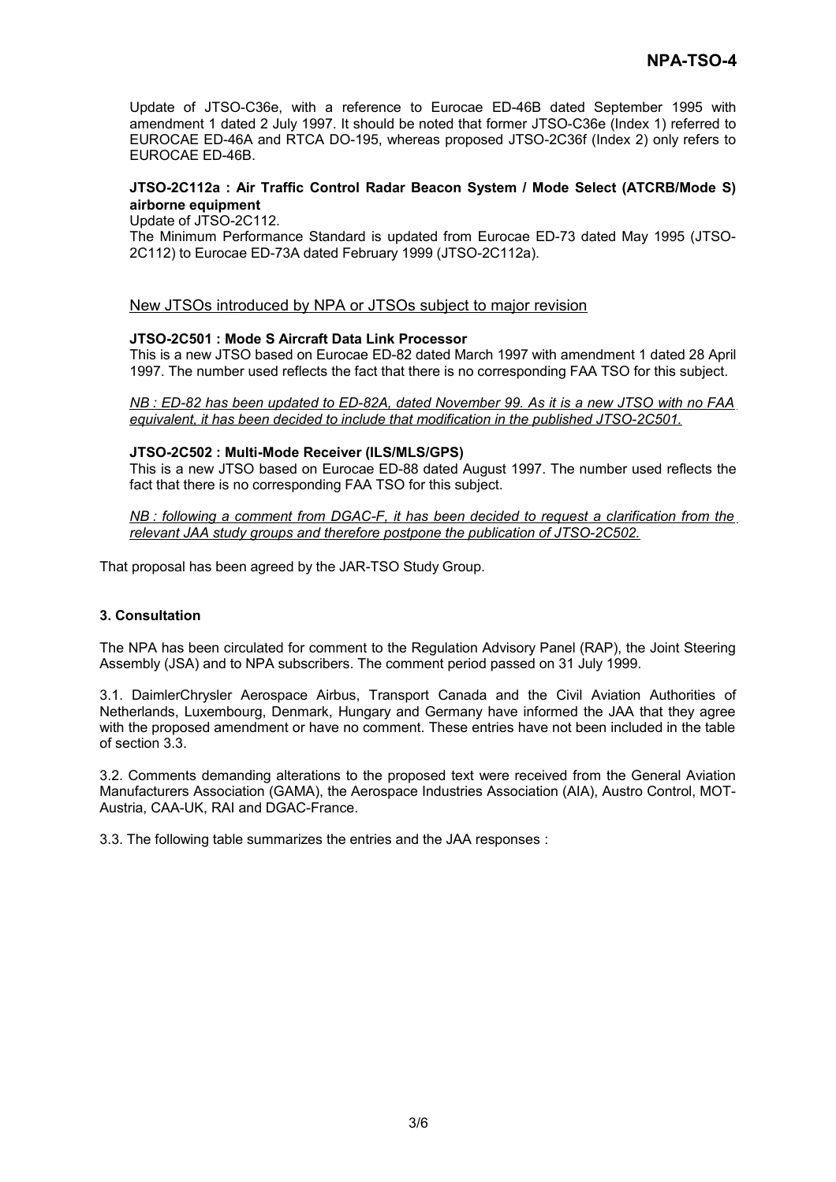Update of JTSO-C36e, with a reference to Eurocae ED-46B dated September 1995 with amendment 1 dated 2 July 1997. It should be noted that former JTSO-C36e (Index 1) referred to EUROCAE ED-46A and RTCA DO-195, whereas proposed JTSO-2C36f (Index 2) only refers to EUROCAE ED-46B.

### **JTSO-2C112a : Air Traffic Control Radar Beacon System / Mode Select (ATCRB/Mode S) airborne equipment**

Update of JTSO-2C112.

The Minimum Performance Standard is updated from Eurocae ED-73 dated May 1995 (JTSO-2C112) to Eurocae ED-73A dated February 1999 (JTSO-2C112a).

## New JTSOs introduced by NPA or JTSOs subject to major revision

### **JTSO-2C501 : Mode S Aircraft Data Link Processor**

This is a new JTSO based on Eurocae ED-82 dated March 1997 with amendment 1 dated 28 April 1997. The number used reflects the fact that there is no corresponding FAA TSO for this subject.

 *NB : ED-82 has been updated to ED-82A, dated November 99. As it is a new JTSO with no FAA equivalent, it has been decided to include that modification in the published JTSO-2C501.*

#### **JTSO-2C502 : Multi-Mode Receiver (ILS/MLS/GPS)**

This is a new JTSO based on Eurocae ED-88 dated August 1997. The number used reflects the fact that there is no corresponding FAA TSO for this subject.

 *NB : following a comment from DGAC-F, it has been decided to request a clarification from the relevant JAA study groups and therefore postpone the publication of JTSO-2C502.*

That proposal has been agreed by the JAR-TSO Study Group.

### **3. Consultation**

The NPA has been circulated for comment to the Regulation Advisory Panel (RAP), the Joint Steering Assembly (JSA) and to NPA subscribers. The comment period passed on 31 July 1999.

3.1. DaimlerChrysler Aerospace Airbus, Transport Canada and the Civil Aviation Authorities of Netherlands, Luxembourg, Denmark, Hungary and Germany have informed the JAA that they agree with the proposed amendment or have no comment. These entries have not been included in the table of section 3.3.

3.2. Comments demanding alterations to the proposed text were received from the General Aviation Manufacturers Association (GAMA), the Aerospace Industries Association (AIA), Austro Control, MOT-Austria, CAA-UK, RAI and DGAC-France.

3.3. The following table summarizes the entries and the JAA responses :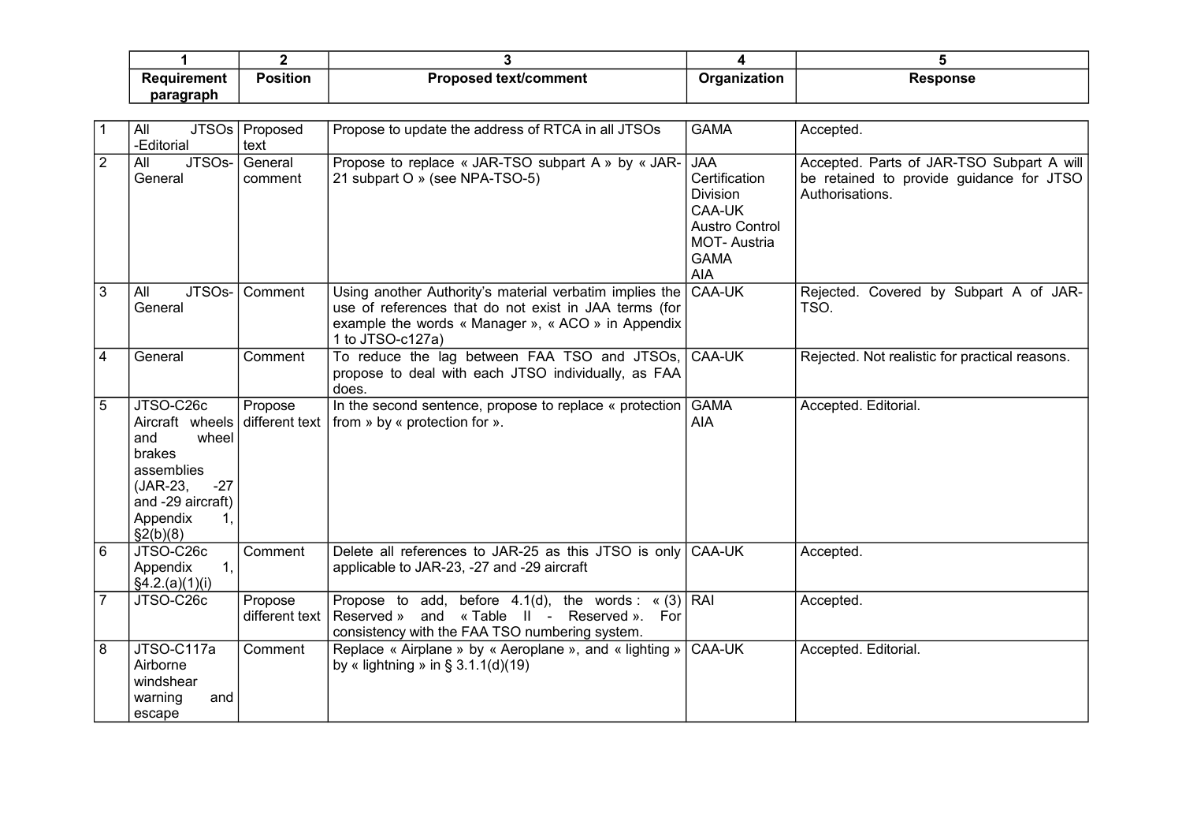| Requirement         | <b>Position</b> | Proposed text/comment | Organization | Response |
|---------------------|-----------------|-----------------------|--------------|----------|
| paragraph<br>------ |                 |                       |              |          |

| $\overline{1}$  | All<br>-Editorial                                                                                                                                            | JTSOs   Proposed<br>text  | Propose to update the address of RTCA in all JTSOs                                                                                                                                         | <b>GAMA</b>                                                                                                                          | Accepted.                                                                                                |
|-----------------|--------------------------------------------------------------------------------------------------------------------------------------------------------------|---------------------------|--------------------------------------------------------------------------------------------------------------------------------------------------------------------------------------------|--------------------------------------------------------------------------------------------------------------------------------------|----------------------------------------------------------------------------------------------------------|
| $\overline{2}$  | JTSO <sub>s</sub> -<br>All<br>General                                                                                                                        | General<br>comment        | Propose to replace « JAR-TSO subpart A » by « JAR-<br>21 subpart O » (see NPA-TSO-5)                                                                                                       | <b>JAA</b><br>Certification<br><b>Division</b><br>CAA-UK<br><b>Austro Control</b><br><b>MOT-Austria</b><br><b>GAMA</b><br><b>AIA</b> | Accepted. Parts of JAR-TSO Subpart A will<br>be retained to provide guidance for JTSO<br>Authorisations. |
| $\overline{3}$  | JTSO <sub>s</sub> -<br>All<br>General                                                                                                                        | Comment                   | Using another Authority's material verbatim implies the<br>use of references that do not exist in JAA terms (for<br>example the words « Manager », « ACO » in Appendix<br>1 to JTSO-c127a) | CAA-UK                                                                                                                               | Rejected. Covered by Subpart A of JAR-<br>TSO.                                                           |
| $\overline{4}$  | General                                                                                                                                                      | Comment                   | To reduce the lag between FAA TSO and JTSOs, CAA-UK<br>propose to deal with each JTSO individually, as FAA<br>does.                                                                        |                                                                                                                                      | Rejected. Not realistic for practical reasons.                                                           |
| $5\overline{)}$ | JTSO-C26c<br>Aircraft wheels different text<br>wheel<br>and<br>brakes<br>assemblies<br>(JAR-23,<br>$-27$<br>and -29 aircraft)<br>Appendix<br>1,<br>\$2(b)(8) | Propose                   | In the second sentence, propose to replace « protection   GAMA<br>from » by « protection for ».                                                                                            | <b>AIA</b>                                                                                                                           | Accepted. Editorial.                                                                                     |
| 6               | JTSO-C26c<br>Appendix<br>1,<br>§4.2.(a)(1)(i)                                                                                                                | Comment                   | Delete all references to JAR-25 as this JTSO is only<br>applicable to JAR-23, -27 and -29 aircraft                                                                                         | CAA-UK                                                                                                                               | Accepted.                                                                                                |
| $\overline{7}$  | JTSO-C26c                                                                                                                                                    | Propose<br>different text | Propose to add, before $4.1(d)$ , the words: «(3) RAI<br>and «Table II - Reserved ». For<br>Reserved »<br>consistency with the FAA TSO numbering system.                                   |                                                                                                                                      | Accepted.                                                                                                |
| 8               | JTSO-C117a<br>Airborne<br>windshear<br>warning<br>and<br>escape                                                                                              | Comment                   | Replace « Airplane » by « Aeroplane », and « lighting »<br>by « lightning » in § $3.1.1(d)(19)$                                                                                            | CAA-UK                                                                                                                               | Accepted. Editorial.                                                                                     |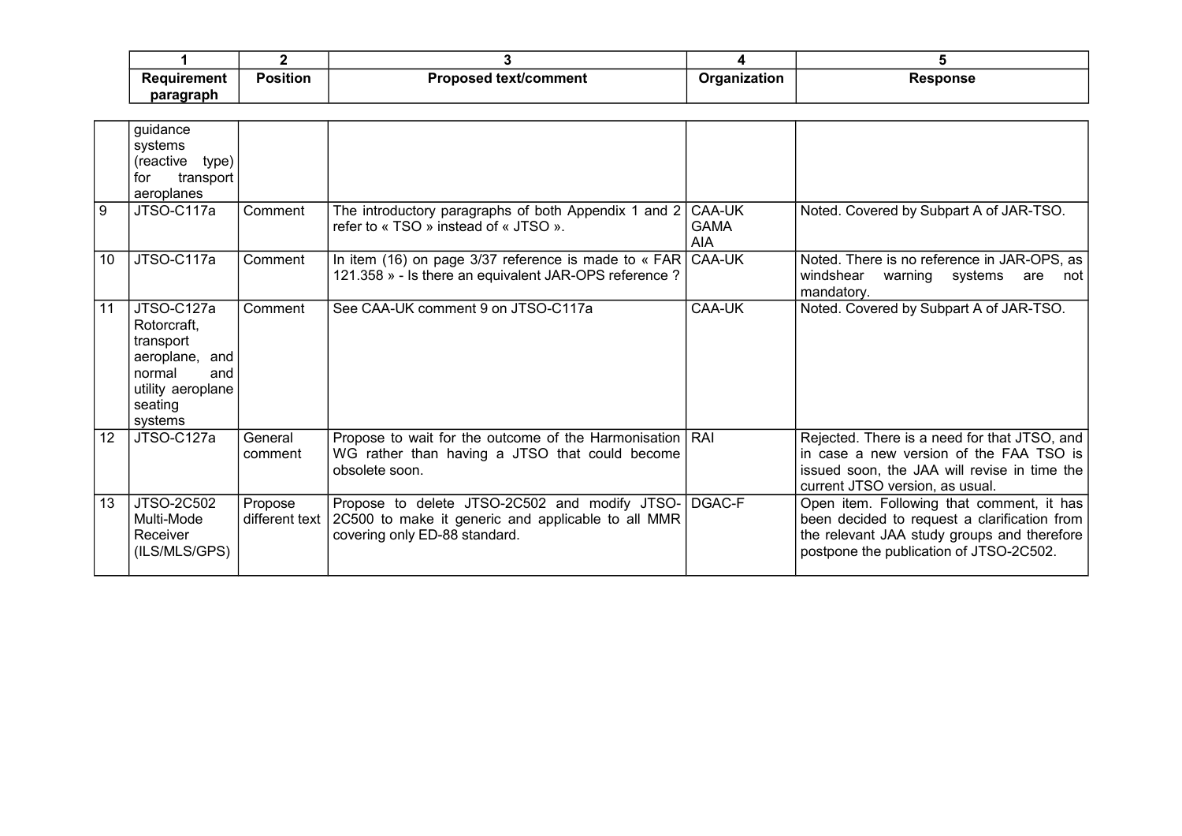| Reauirement | .<br><b>Position</b> | Dro:<br>l text/comment<br>roposed | Organization | <b>sponse</b> |
|-------------|----------------------|-----------------------------------|--------------|---------------|
| paragraph   |                      |                                   |              |               |

|    | guidance<br>systems<br>(reactive type)<br>transport<br>for<br>aeroplanes                                             |                           |                                                                                                                                      |                                     |                                                                                                                                                                                     |
|----|----------------------------------------------------------------------------------------------------------------------|---------------------------|--------------------------------------------------------------------------------------------------------------------------------------|-------------------------------------|-------------------------------------------------------------------------------------------------------------------------------------------------------------------------------------|
| 9  | JTSO-C117a                                                                                                           | Comment                   | The introductory paragraphs of both Appendix 1 and 2<br>refer to « TSO » instead of « JTSO ».                                        | CAA-UK<br><b>GAMA</b><br><b>AIA</b> | Noted. Covered by Subpart A of JAR-TSO.                                                                                                                                             |
| 10 | JTSO-C117a                                                                                                           | Comment                   | In item (16) on page 3/37 reference is made to $\kappa$ FAR CAA-UK<br>121.358 » - Is there an equivalent JAR-OPS reference ?         |                                     | Noted. There is no reference in JAR-OPS, as<br>windshear<br>warning systems are not<br>mandatory.                                                                                   |
| 11 | JTSO-C127a<br>Rotorcraft,<br>transport<br>aeroplane, and<br>normal<br>and<br>utility aeroplane<br>seating<br>systems | Comment                   | See CAA-UK comment 9 on JTSO-C117a                                                                                                   | CAA-UK                              | Noted. Covered by Subpart A of JAR-TSO.                                                                                                                                             |
| 12 | JTSO-C127a                                                                                                           | General<br>comment        | Propose to wait for the outcome of the Harmonisation   RAI<br>WG rather than having a JTSO that could become<br>obsolete soon.       |                                     | Rejected. There is a need for that JTSO, and<br>in case a new version of the FAA TSO is<br>issued soon, the JAA will revise in time the<br>current JTSO version, as usual.          |
| 13 | <b>JTSO-2C502</b><br>Multi-Mode<br>Receiver<br>(ILS/MLS/GPS)                                                         | Propose<br>different text | Propose to delete JTSO-2C502 and modify JTSO-<br>2C500 to make it generic and applicable to all MMR<br>covering only ED-88 standard. | DGAC-F                              | Open item. Following that comment, it has<br>been decided to request a clarification from<br>the relevant JAA study groups and therefore<br>postpone the publication of JTSO-2C502. |